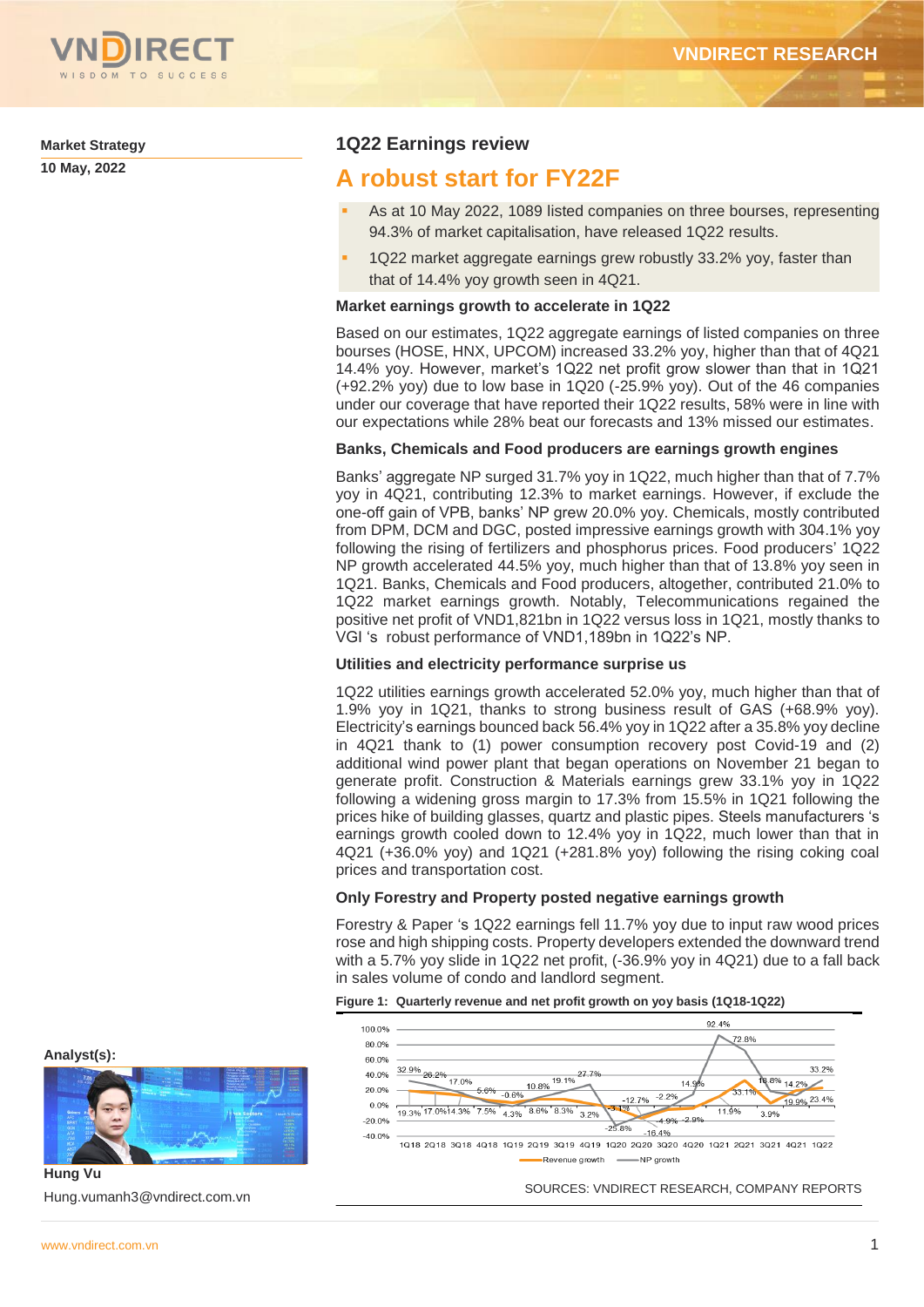

**Market Strategy**

**10 May, 2022**

## **1Q22 Earnings review**

## **A robust start for FY22F**

- As at 10 May 2022, 1089 listed companies on three bourses, representing 94.3% of market capitalisation, have released 1Q22 results.
- 1Q22 market aggregate earnings grew robustly 33.2% yoy, faster than that of 14.4% yoy growth seen in 4Q21.

## **Market earnings growth to accelerate in 1Q22**

Based on our estimates, 1Q22 aggregate earnings of listed companies on three bourses (HOSE, HNX, UPCOM) increased 33.2% yoy, higher than that of 4Q21 14.4% yoy. However, market's 1Q22 net profit grow slower than that in 1Q21 (+92.2% yoy) due to low base in 1Q20 (-25.9% yoy). Out of the 46 companies under our coverage that have reported their 1Q22 results, 58% were in line with our expectations while 28% beat our forecasts and 13% missed our estimates.

## **Banks, Chemicals and Food producers are earnings growth engines**

Banks' aggregate NP surged 31.7% yoy in 1Q22, much higher than that of 7.7% yoy in 4Q21, contributing 12.3% to market earnings. However, if exclude the one-off gain of VPB, banks' NP grew 20.0% yoy. Chemicals, mostly contributed from DPM, DCM and DGC, posted impressive earnings growth with 304.1% yoy following the rising of fertilizers and phosphorus prices. Food producers' 1Q22 NP growth accelerated 44.5% yoy, much higher than that of 13.8% yoy seen in 1Q21. Banks, Chemicals and Food producers, altogether, contributed 21.0% to 1Q22 market earnings growth. Notably, Telecommunications regained the positive net profit of VND1,821bn in 1Q22 versus loss in 1Q21, mostly thanks to VGI 's robust performance of VND1,189bn in 1Q22's NP.

## **Utilities and electricity performance surprise us**

1Q22 utilities earnings growth accelerated 52.0% yoy, much higher than that of 1.9% yoy in 1Q21, thanks to strong business result of GAS (+68.9% yoy). Electricity's earnings bounced back 56.4% yoy in 1Q22 after a 35.8% yoy decline in 4Q21 thank to (1) power consumption recovery post Covid-19 and (2) additional wind power plant that began operations on November 21 began to generate profit. Construction & Materials earnings grew 33.1% yoy in 1Q22 following a widening gross margin to 17.3% from 15.5% in 1Q21 following the prices hike of building glasses, quartz and plastic pipes. Steels manufacturers 's earnings growth cooled down to 12.4% yoy in 1Q22, much lower than that in 4Q21 (+36.0% yoy) and 1Q21 (+281.8% yoy) following the rising coking coal prices and transportation cost.

## **Only Forestry and Property posted negative earnings growth**

Forestry & Paper 's 1Q22 earnings fell 11.7% yoy due to input raw wood prices rose and high shipping costs. Property developers extended the downward trend with a 5.7% yoy slide in 1Q22 net profit, (-36.9% yoy in 4Q21) due to a fall back in sales volume of condo and landlord segment.





**Analyst(s):**

**Hung Vu** Hung.vumanh3@vndirect.com.vn

SOURCES: VNDIRECT RESEARCH, COMPANY REPORTS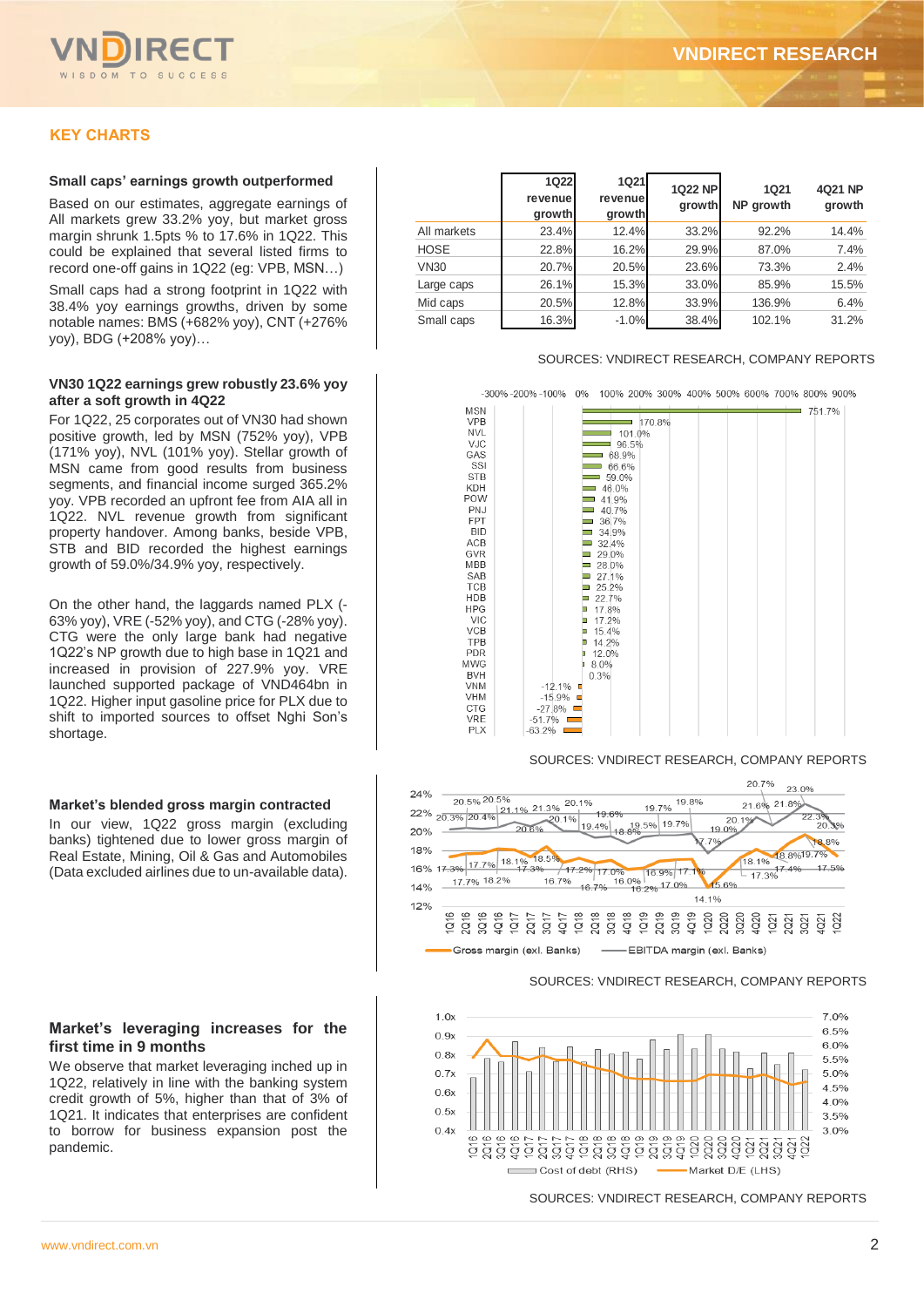

## **KEY CHARTS**

#### **Small caps' earnings growth outperformed**

Based on our estimates, aggregate earnings of All markets grew 33.2% yoy, but market gross margin shrunk 1.5pts % to 17.6% in 1Q22. This could be explained that several listed firms to record one-off gains in 1Q22 (eg: VPB, MSN…)

Small caps had a strong footprint in 1Q22 with 38.4% yoy earnings growths, driven by some notable names: BMS (+682% yoy), CNT (+276% yoy), BDG (+208% yoy)…

#### **VN30 1Q22 earnings grew robustly 23.6% yoy after a soft growth in 4Q22**

For 1Q22, 25 corporates out of VN30 had shown positive growth, led by MSN (752% yoy), VPB (171% yoy), NVL (101% yoy). Stellar growth of MSN came from good results from business segments, and financial income surged 365.2% yoy. VPB recorded an upfront fee from AIA all in 1Q22. NVL revenue growth from significant property handover. Among banks, beside VPB, STB and BID recorded the highest earnings growth of 59.0%/34.9% yoy, respectively.

On the other hand, the laggards named PLX (- 63% yoy), VRE (-52% yoy), and CTG (-28% yoy). CTG were the only large bank had negative 1Q22's NP growth due to high base in 1Q21 and increased in provision of 227.9% yoy. VRE launched supported package of VND464bn in 1Q22. Higher input gasoline price for PLX due to shift to imported sources to offset Nghi Son's shortage.

#### **Market's blended gross margin contracted**

In our view, 1Q22 gross margin (excluding banks) tightened due to lower gross margin of Real Estate, Mining, Oil & Gas and Automobiles (Data excluded airlines due to un-available data).

#### **Market's leveraging increases for the first time in 9 months**

We observe that market leveraging inched up in 1Q22, relatively in line with the banking system credit growth of 5%, higher than that of 3% of 1Q21. It indicates that enterprises are confident to borrow for business expansion post the pandemic.

|             | <b>1Q22</b><br>revenue | <b>1Q21</b><br>revenue | <b>1Q22 NP</b><br>growth | <b>1Q21</b><br>NP growth | 4Q21 NP<br>growth |  |
|-------------|------------------------|------------------------|--------------------------|--------------------------|-------------------|--|
|             | growth                 | growth                 |                          |                          |                   |  |
| All markets | 23.4%                  | 12.4%                  | 33.2%                    | 92.2%                    | 14.4%             |  |
| <b>HOSE</b> | 22.8%                  | 16.2%                  | 29.9%                    | 87.0%                    | 7.4%              |  |
| <b>VN30</b> | 20.7%                  | 20.5%                  | 23.6%                    | 73.3%                    | 2.4%              |  |
| Large caps  | 26.1%                  | 15.3%                  | 33.0%                    | 85.9%                    | 15.5%             |  |
| Mid caps    | 20.5%                  | 12.8%                  | 33.9%                    | 136.9%                   | 6.4%              |  |
| Small caps  | 16.3%                  | $-1.0%$                | 38.4%                    | 102.1%                   | 31.2%             |  |

#### SOURCES: VNDIRECT RESEARCH, COMPANY REPORTS



#### SOURCES: VNDIRECT RESEARCH, COMPANY REPORTS



SOURCES: VNDIRECT RESEARCH, COMPANY REPORTS

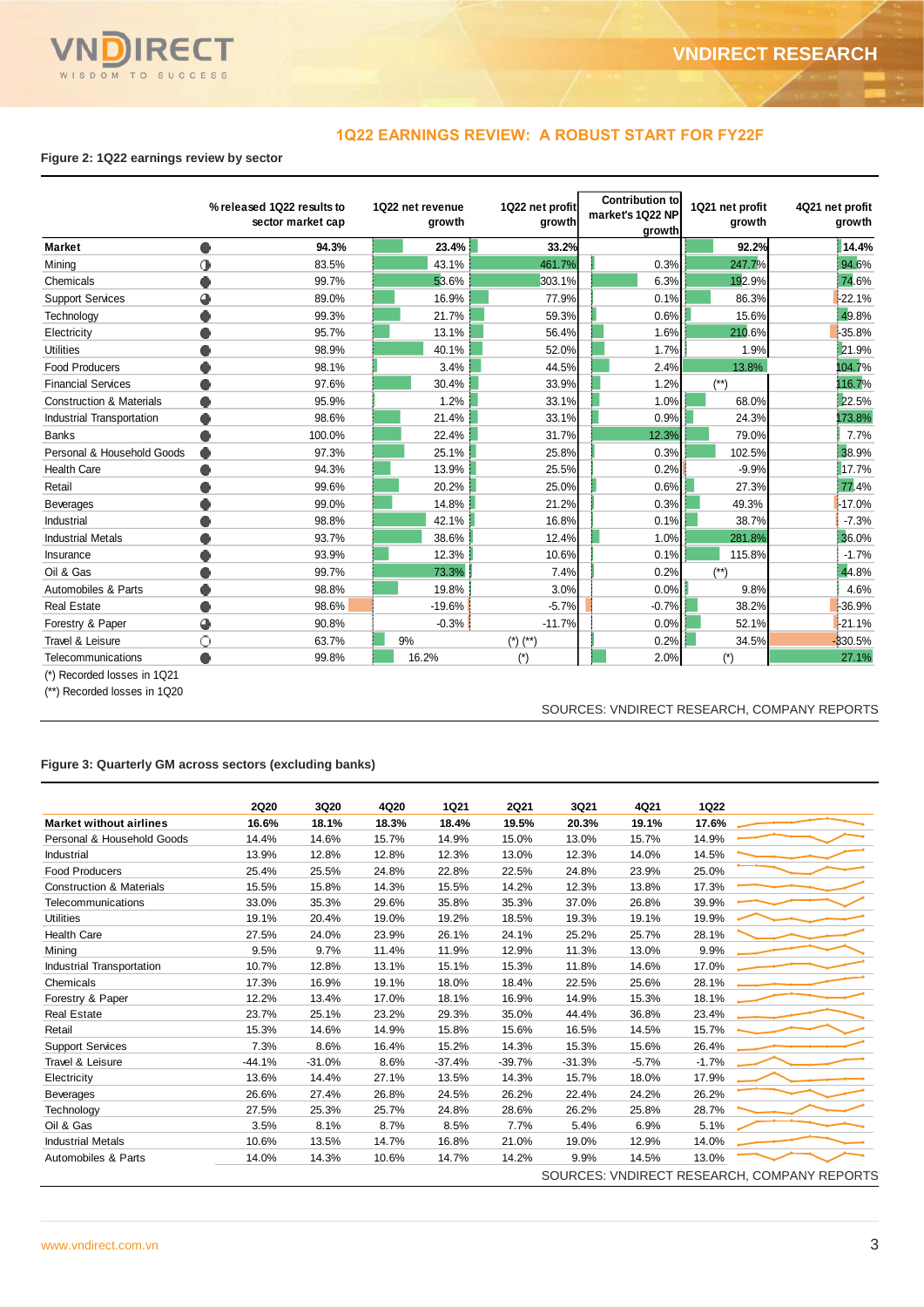

## **1Q22 EARNINGS REVIEW: A ROBUST START FOR FY22F**

## **Figure 2: 1Q22 earnings review by sector**

|                                     |   | % released 1Q22 results to<br>sector market cap | 1Q22 net revenue<br>growth |          | 1Q22 net profit<br>growth |  | <b>Contribution to</b><br>market's 1Q22 NP<br>growth | 1Q21 net profit<br>growth | 4Q21 net profit | growth   |
|-------------------------------------|---|-------------------------------------------------|----------------------------|----------|---------------------------|--|------------------------------------------------------|---------------------------|-----------------|----------|
| <b>Market</b>                       |   | 94.3%                                           |                            | 23.4%    | 33.2%                     |  |                                                      | 92.2%                     |                 | 14.4%    |
| Mining                              | 0 | 83.5%                                           |                            | 43.1%    | 461.7%                    |  | 0.3%                                                 | 247.7%                    |                 | 94.6%    |
| Chemicals                           |   | 99.7%                                           |                            | 53.6%    | 303.1%                    |  | 6.3%                                                 | 192.9%                    |                 | 74.6%    |
| <b>Support Services</b>             | 4 | 89.0%                                           |                            | 16.9%    | 77.9%                     |  | 0.1%                                                 | 86.3%                     |                 | $-22.1%$ |
| Technology                          |   | 99.3%                                           |                            | 21.7%    | 59.3%                     |  | 0.6%                                                 | 15.6%                     |                 | 49.8%    |
| Electricity                         |   | 95.7%                                           |                            | 13.1%    | 56.4%                     |  | 1.6%                                                 | 210.6%                    |                 | -35.8%   |
| <b>Utilities</b>                    |   | 98.9%                                           |                            | 40.1%    | 52.0%                     |  | 1.7%                                                 | 1.9%                      |                 | 21.9%    |
| <b>Food Producers</b>               |   | 98.1%                                           |                            | 3.4%     | 44.5%                     |  | 2.4%                                                 | 13.8%                     |                 | 104.7%   |
| <b>Financial Services</b>           |   | 97.6%                                           |                            | 30.4%    | 33.9%                     |  | 1.2%                                                 | $(^{**})$                 |                 | 116.7%   |
| <b>Construction &amp; Materials</b> |   | 95.9%                                           |                            | 1.2%     | 33.1%                     |  | 1.0%                                                 | 68.0%                     |                 | 22.5%    |
| Industrial Transportation           |   | 98.6%                                           |                            | 21.4%    | 33.1%                     |  | 0.9%                                                 | 24.3%                     |                 | 173.8%   |
| <b>Banks</b>                        |   | 100.0%                                          |                            | 22.4%    | 31.7%                     |  | 12.3%                                                | 79.0%                     |                 | 7.7%     |
| Personal & Household Goods          |   | 97.3%                                           |                            | 25.1%    | 25.8%                     |  | 0.3%                                                 | 102.5%                    |                 | 38.9%    |
| <b>Health Care</b>                  |   | 94.3%                                           |                            | 13.9%    | 25.5%                     |  | 0.2%                                                 | $-9.9%$                   |                 | 17.7%    |
| Retail                              |   | 99.6%                                           |                            | 20.2%    | 25.0%                     |  | 0.6%                                                 | 27.3%                     |                 | 77.4%    |
| <b>Beverages</b>                    |   | 99.0%                                           |                            | 14.8%    | 21.2%                     |  | 0.3%                                                 | 49.3%                     |                 | $-17.0%$ |
| Industrial                          |   | 98.8%                                           |                            | 42.1%    | 16.8%                     |  | 0.1%                                                 | 38.7%                     |                 | $-7.3%$  |
| <b>Industrial Metals</b>            |   | 93.7%                                           |                            | 38.6%    | 12.4%                     |  | 1.0%                                                 | 281.8%                    |                 | 36.0%    |
| Insurance                           |   | 93.9%                                           |                            | 12.3%    | 10.6%                     |  | 0.1%                                                 | 115.8%                    |                 | $-1.7%$  |
| Oil & Gas                           |   | 99.7%                                           |                            | 73.3%    | 7.4%                      |  | 0.2%                                                 | $($ **)                   |                 | 44.8%    |
| Automobiles & Parts                 |   | 98.8%                                           |                            | 19.8%    | 3.0%                      |  | 0.0%                                                 | 9.8%                      |                 | 4.6%     |
| <b>Real Estate</b>                  |   | 98.6%                                           |                            | $-19.6%$ | $-5.7%$                   |  | $-0.7%$                                              | 38.2%                     |                 | -36.9%   |
| Forestry & Paper                    | ◕ | 90.8%                                           |                            | $-0.3%$  | $-11.7%$                  |  | 0.0%                                                 | 52.1%                     |                 | $-21.1%$ |
| Travel & Leisure                    | O | 63.7%                                           | 9%                         |          | $(*)$ $(*)$               |  | 0.2%                                                 | 34.5%                     | $-330.5%$       |          |
| Telecommunications                  |   | 99.8%                                           |                            | 16.2%    | $(*)$                     |  | 2.0%                                                 | $(\dot{ }^*)$             |                 | 27.1%    |

(\*) Recorded losses in 1Q21

(\*\*) Recorded losses in 1Q20

#### SOURCES: VNDIRECT RESEARCH, COMPANY REPORTS

## **Figure 3: Quarterly GM across sectors (excluding banks)**

| <b>Market without airlines</b>      | <b>2Q20</b><br>16.6% | 3Q20<br>18.1% | 4Q20<br>18.3% | <b>1Q21</b><br>18.4% | <b>2Q21</b><br>19.5% | 3Q21<br>20.3%                               | 4Q21<br>19.1% | <b>1Q22</b><br>17.6% |  |
|-------------------------------------|----------------------|---------------|---------------|----------------------|----------------------|---------------------------------------------|---------------|----------------------|--|
| Personal & Household Goods          | 14.4%                | 14.6%         | 15.7%         | 14.9%                | 15.0%                | 13.0%                                       | 15.7%         | 14.9%                |  |
| Industrial                          | 13.9%                | 12.8%         | 12.8%         | 12.3%                | 13.0%                | 12.3%                                       | 14.0%         | 14.5%                |  |
| <b>Food Producers</b>               | 25.4%                | 25.5%         | 24.8%         | 22.8%                | 22.5%                | 24.8%                                       | 23.9%         | 25.0%                |  |
| <b>Construction &amp; Materials</b> | 15.5%                | 15.8%         | 14.3%         | 15.5%                | 14.2%                | 12.3%                                       | 13.8%         | 17.3%                |  |
| Telecommunications                  | 33.0%                | 35.3%         | 29.6%         | 35.8%                | 35.3%                | 37.0%                                       | 26.8%         | 39.9%                |  |
| <b>Utilities</b>                    |                      |               |               |                      |                      |                                             |               |                      |  |
|                                     | 19.1%                | 20.4%         | 19.0%         | 19.2%                | 18.5%                | 19.3%                                       | 19.1%         | 19.9%                |  |
| <b>Health Care</b>                  | 27.5%                | 24.0%         | 23.9%         | 26.1%                | 24.1%                | 25.2%                                       | 25.7%         | 28.1%                |  |
| Mining                              | 9.5%                 | 9.7%          | 11.4%         | 11.9%                | 12.9%                | 11.3%                                       | 13.0%         | 9.9%                 |  |
| Industrial Transportation           | 10.7%                | 12.8%         | 13.1%         | 15.1%                | 15.3%                | 11.8%                                       | 14.6%         | 17.0%                |  |
| Chemicals                           | 17.3%                | 16.9%         | 19.1%         | 18.0%                | 18.4%                | 22.5%                                       | 25.6%         | 28.1%                |  |
| Forestry & Paper                    | 12.2%                | 13.4%         | 17.0%         | 18.1%                | 16.9%                | 14.9%                                       | 15.3%         | 18.1%                |  |
| <b>Real Estate</b>                  | 23.7%                | 25.1%         | 23.2%         | 29.3%                | 35.0%                | 44.4%                                       | 36.8%         | 23.4%                |  |
| Retail                              | 15.3%                | 14.6%         | 14.9%         | 15.8%                | 15.6%                | 16.5%                                       | 14.5%         | 15.7%                |  |
| <b>Support Services</b>             | 7.3%                 | 8.6%          | 16.4%         | 15.2%                | 14.3%                | 15.3%                                       | 15.6%         | 26.4%                |  |
| Travel & Leisure                    | $-44.1%$             | $-31.0%$      | 8.6%          | $-37.4%$             | $-39.7%$             | $-31.3%$                                    | $-5.7%$       | $-1.7%$              |  |
| Electricity                         | 13.6%                | 14.4%         | 27.1%         | 13.5%                | 14.3%                | 15.7%                                       | 18.0%         | 17.9%                |  |
| <b>Beverages</b>                    | 26.6%                | 27.4%         | 26.8%         | 24.5%                | 26.2%                | 22.4%                                       | 24.2%         | 26.2%                |  |
| Technology                          | 27.5%                | 25.3%         | 25.7%         | 24.8%                | 28.6%                | 26.2%                                       | 25.8%         | 28.7%                |  |
| Oil & Gas                           | 3.5%                 | 8.1%          | 8.7%          | 8.5%                 | 7.7%                 | 5.4%                                        | 6.9%          | 5.1%                 |  |
| <b>Industrial Metals</b>            | 10.6%                | 13.5%         | 14.7%         | 16.8%                | 21.0%                | 19.0%                                       | 12.9%         | 14.0%                |  |
| Automobiles & Parts                 | 14.0%                | 14.3%         | 10.6%         | 14.7%                | 14.2%                | 9.9%                                        | 14.5%         | 13.0%                |  |
|                                     |                      |               |               |                      |                      | SOURCES: VNDIRECT RESEARCH, COMPANY REPORTS |               |                      |  |